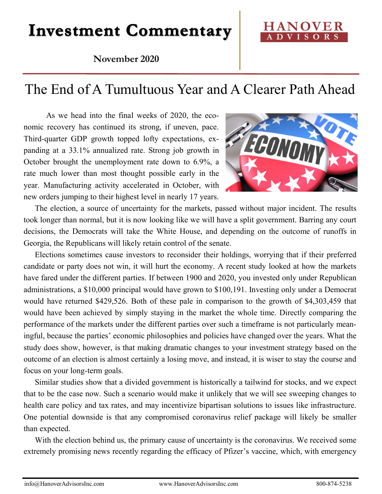# **Investment Commentary**

### **November 2020**

## The End of A Tumultuous Year and A Clearer Path Ahead

As we head into the final weeks of 2020, the economic recovery has continued its strong, if uneven, pace. Third-quarter GDP growth topped lofty expectations, expanding at a 33.1% annualized rate. Strong job growth in October brought the unemployment rate down to 6.9%, a rate much lower than most thought possible early in the year. Manufacturing activity accelerated in October, with new orders jumping to their highest level in nearly 17 years.

ECONO

The election, a source of uncertainty for the markets, passed without major incident. The results took longer than normal, but it is now looking like we will have a split government. Barring any court decisions, the Democrats will take the White House, and depending on the outcome of runoffs in Georgia, the Republicans will likely retain control of the senate.

Elections sometimes cause investors to reconsider their holdings, worrying that if their preferred candidate or party does not win, it will hurt the economy. A recent study looked at how the markets have fared under the different parties. If between 1900 and 2020, you invested only under Republican administrations, a \$10,000 principal would have grown to \$100,191. Investing only under a Democrat would have returned \$429,526. Both of these pale in comparison to the growth of \$4,303,459 that would have been achieved by simply staying in the market the whole time. Directly comparing the performance of the markets under the different parties over such a timeframe is not particularly meaningful, because the parties' economic philosophies and policies have changed over the years. What the study does show, however, is that making dramatic changes to your investment strategy based on the outcome of an election is almost certainly a losing move, and instead, it is wiser to stay the course and focus on your long-term goals.

Similar studies show that a divided government is historically a tailwind for stocks, and we expect that to be the case now. Such a scenario would make it unlikely that we will see sweeping changes to health care policy and tax rates, and may incentivize bipartisan solutions to issues like infrastructure. One potential downside is that any compromised coronavirus relief package will likely be smaller than expected.

With the election behind us, the primary cause of uncertainty is the coronavirus. We received some extremely promising news recently regarding the efficacy of Pfizer's vaccine, which, with emergency

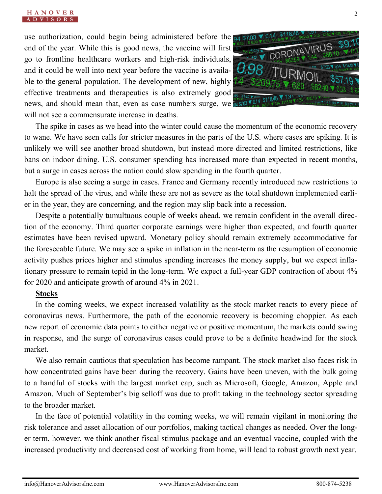use authorization, could begin being administered before the 04 \$703 end of the year. While this is good news, the vaccine will first go to frontline healthcare workers and high-risk individuals, and it could be well into next year before the vaccine is available to the general population. The development of new, highly effective treatments and therapeutics is also extremely good news, and should mean that, even as case numbers surge, we will not see a commensurate increase in deaths.



The spike in cases as we head into the winter could cause the momentum of the economic recovery to wane. We have seen calls for stricter measures in the parts of the U.S. where cases are spiking. It is unlikely we will see another broad shutdown, but instead more directed and limited restrictions, like bans on indoor dining. U.S. consumer spending has increased more than expected in recent months, but a surge in cases across the nation could slow spending in the fourth quarter.

Europe is also seeing a surge in cases. France and Germany recently introduced new restrictions to halt the spread of the virus, and while these are not as severe as the total shutdown implemented earlier in the year, they are concerning, and the region may slip back into a recession.

Despite a potentially tumultuous couple of weeks ahead, we remain confident in the overall direction of the economy. Third quarter corporate earnings were higher than expected, and fourth quarter estimates have been revised upward. Monetary policy should remain extremely accommodative for the foreseeable future. We may see a spike in inflation in the near-term as the resumption of economic activity pushes prices higher and stimulus spending increases the money supply, but we expect inflationary pressure to remain tepid in the long-term. We expect a full-year GDP contraction of about 4% for 2020 and anticipate growth of around 4% in 2021.

#### **Stocks**

In the coming weeks, we expect increased volatility as the stock market reacts to every piece of coronavirus news. Furthermore, the path of the economic recovery is becoming choppier. As each new report of economic data points to either negative or positive momentum, the markets could swing in response, and the surge of coronavirus cases could prove to be a definite headwind for the stock market.

We also remain cautious that speculation has become rampant. The stock market also faces risk in how concentrated gains have been during the recovery. Gains have been uneven, with the bulk going to a handful of stocks with the largest market cap, such as Microsoft, Google, Amazon, Apple and Amazon. Much of September's big selloff was due to profit taking in the technology sector spreading to the broader market.

In the face of potential volatility in the coming weeks, we will remain vigilant in monitoring the risk tolerance and asset allocation of our portfolios, making tactical changes as needed. Over the longer term, however, we think another fiscal stimulus package and an eventual vaccine, coupled with the increased productivity and decreased cost of working from home, will lead to robust growth next year.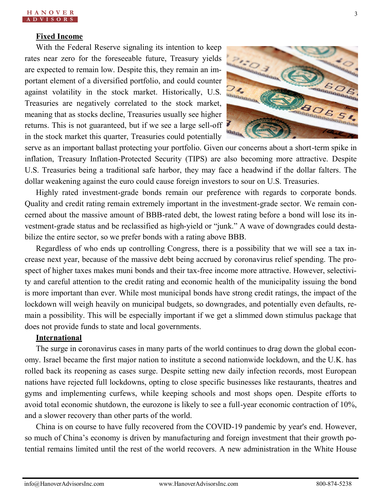#### **Fixed Income**

With the Federal Reserve signaling its intention to keep rates near zero for the foreseeable future, Treasury yields are expected to remain low. Despite this, they remain an important element of a diversified portfolio, and could counter against volatility in the stock market. Historically, U.S. Treasuries are negatively correlated to the stock market, meaning that as stocks decline, Treasuries usually see higher returns. This is not guaranteed, but if we see a large sell-off in the stock market this quarter, Treasuries could potentially



serve as an important ballast protecting your portfolio. Given our concerns about a short-term spike in inflation, Treasury Inflation-Protected Security (TIPS) are also becoming more attractive. Despite U.S. Treasuries being a traditional safe harbor, they may face a headwind if the dollar falters. The dollar weakening against the euro could cause foreign investors to sour on U.S. Treasuries.

Highly rated investment-grade bonds remain our preference with regards to corporate bonds. Quality and credit rating remain extremely important in the investment-grade sector. We remain concerned about the massive amount of BBB-rated debt, the lowest rating before a bond will lose its investment-grade status and be reclassified as high-yield or "junk." A wave of downgrades could destabilize the entire sector, so we prefer bonds with a rating above BBB.

Regardless of who ends up controlling Congress, there is a possibility that we will see a tax increase next year, because of the massive debt being accrued by coronavirus relief spending. The prospect of higher taxes makes muni bonds and their tax-free income more attractive. However, selectivity and careful attention to the credit rating and economic health of the municipality issuing the bond is more important than ever. While most municipal bonds have strong credit ratings, the impact of the lockdown will weigh heavily on municipal budgets, so downgrades, and potentially even defaults, remain a possibility. This will be especially important if we get a slimmed down stimulus package that does not provide funds to state and local governments.

#### **International**

The surge in coronavirus cases in many parts of the world continues to drag down the global economy. Israel became the first major nation to institute a second nationwide lockdown, and the U.K. has rolled back its reopening as cases surge. Despite setting new daily infection records, most European nations have rejected full lockdowns, opting to close specific businesses like restaurants, theatres and gyms and implementing curfews, while keeping schools and most shops open. Despite efforts to avoid total economic shutdown, the eurozone is likely to see a full-year economic contraction of 10%, and a slower recovery than other parts of the world.

China is on course to have fully recovered from the COVID-19 pandemic by year's end. However, so much of China's economy is driven by manufacturing and foreign investment that their growth potential remains limited until the rest of the world recovers. A new administration in the White House